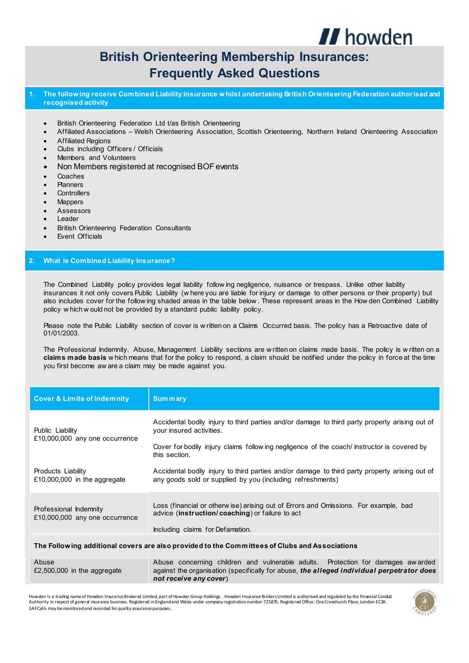

# **British Orienteering Membership Insurances: Frequently Asked Questions**

- **1. The follow ing receive Combined Liability Insurance w hilst undertaking British Orienteering Federation authorised and recognised activity** 
	- British Orienteering Federation Ltd t/as British Orienteering
	- Affiliated Associations Welsh Orienteering Association, Scottish Orienteering, Northern Ireland Orienteering Association
	- Affiliated Regions
	- ∑ Clubs including Officers / Officials
	- Members and Volunteers
	- Non Members registered at recognised BOF events
	- Coaches
	- ∑ Planners
	- **Controllers**
	- ∑ Mappers
	- ∑ Assessors
	- ∑ Leader
	- ∑ British Orienteering Federation Consultants
	- Event Officials

### **2. What is Combined Liability Insurance?**

The Combined Liability policy provides legal liability follow ing negligence, nuisance or trespass. Unlike other liability insurances it not only covers Public Liability (w here you are liable for injury or damage to other persons or their property) but also includes cover for the follow ing shaded areas in the table below . These represent areas in the How den Combined Liability policy w hich w ould not be provided by a standard public liability policy.

Please note the Public Liability section of cover is w ritten on a Claims Occurred basis. The policy has a Retroactive date of 01/01/2003.

The Professional Indemnity, Abuse, Management Liability sections are w ritten on claims made basis. The policy is w ritten on a **claims made basis** w hich means that for the policy to respond, a claim should be notified under the policy in force at the time you first become aw are a claim may be made against you.

| <b>Cover &amp; Limits of Indemnity</b>                                                        | <b>Summary</b>                                                                                                                                                                                                                           |
|-----------------------------------------------------------------------------------------------|------------------------------------------------------------------------------------------------------------------------------------------------------------------------------------------------------------------------------------------|
| Public Liability<br>£10,000,000 any one occurrence                                            | Accidental bodily injury to third parties and/or damage to third party property arising out of<br>your insured activities.<br>Cover for bodily injury claims following negligence of the coach instructor is covered by<br>this section. |
| Products Liability<br>£10,000,000 in the aggregate                                            | Accidental bodily injury to third parties and/or damage to third party property arising out of<br>any goods sold or supplied by you (including refreshments)                                                                             |
| Professional Indemnity<br>£10,000,000 any one occurrence                                      | Loss (financial or otherw ise) arising out of Errors and Omissions. For example, bad<br>advice (instruction/coaching) or failure to act<br>Including claims for Defamation.                                                              |
| The Following additional covers are also provided to the Committees of Clubs and Associations |                                                                                                                                                                                                                                          |
| Abuse<br>£2,500,000 in the aggregate                                                          | Abuse concerning children and vulnerable adults. Protection for damages awarded<br>against the organisation (specifically for abuse, the alleged individual perpetrator does<br>not receive any cover)                                   |

Howden is a trading name of Howden Insurance Brokersd Limited, part of Howden Group Holdings. . Howden Insurance Brokers Limited is authorised and regulated by the Financial Conduct Authority in respect of general insurance business. Registered in England and Wales under company registration number 725875. Registered Office: One Creechurch Place, London EC3A 5AFCalls may be monitored and recorded for quality assurance purposes.

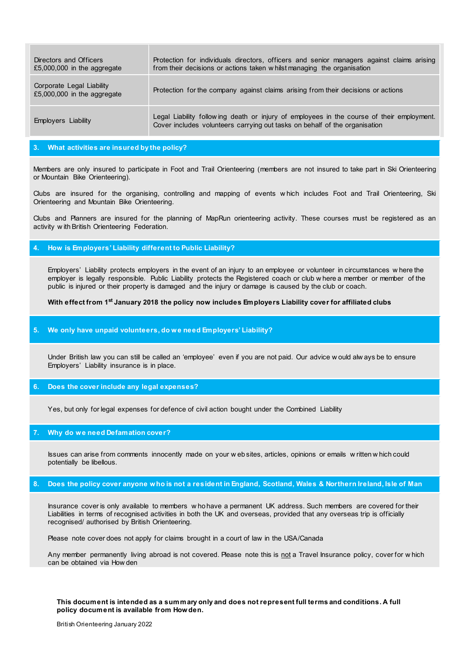| Directors and Officers<br>£5,000,000 in the aggregate    | Protection for individuals directors, officers and senior managers against claims arising<br>from their decisions or actions taken w hilst managing the organisation    |
|----------------------------------------------------------|-------------------------------------------------------------------------------------------------------------------------------------------------------------------------|
| Corporate Legal Liability<br>£5,000,000 in the aggregate | Protection for the company against claims arising from their decisions or actions                                                                                       |
| Employers Liability                                      | Legal Liability following death or injury of employees in the course of their employment.<br>Cover includes volunteers carrying out tasks on behalf of the organisation |

# **3. What activities are insured by the policy?**

Members are only insured to participate in Foot and Trail Orienteering (members are not insured to take part in Ski Orienteering or Mountain Bike Orienteering).

Clubs are insured for the organising, controlling and mapping of events w hich includes Foot and Trail Orienteering, Ski Orienteering and Mountain Bike Orienteering.

Clubs and Planners are insured for the planning of MapRun orienteering activity. These courses must be registered as an activity w ith British Orienteering Federation.

### **4. How is Employers' Liability different to Public Liability?**

Employers' Liability protects employers in the event of an injury to an employee or volunteer in circumstances w here the employer is legally responsible. Public Liability protects the Registered coach or club w here a member or member of the public is injured or their property is damaged and the injury or damage is caused by the club or coach.

# **With effect from 1st January 2018 the policy now includes Employers Liability cover for affiliated clubs**

# **5. We only have unpaid volunteers, do w e need Employers' Liability?**

Under British law you can still be called an 'employee' even if you are not paid. Our advice w ould alw ays be to ensure Employers' Liability insurance is in place.

# **6. Does the cover include any legal expenses?**

Yes, but only for legal expenses for defence of civil action bought under the Combined Liability

## **7. Why do we need Defamation cover?**

Issues can arise from comments innocently made on your w eb sites, articles, opinions or emails w ritten w hich could potentially be libellous.

### **8. Does the policy cover anyone who is not a resident in England, Scotland, Wales & Northern Ireland, Isle of Man**

Insurance cover is only available to members w ho have a permanent UK address. Such members are covered for their Liabilities in terms of recognised activities in both the UK and overseas, provided that any overseas trip is officially recognised/ authorised by British Orienteering.

Please note cover does not apply for claims brought in a court of law in the USA/Canada

Any member permanently living abroad is not covered. Please note this is not a Travel Insurance policy, cover for w hich can be obtained via How den

### **This document is intended as a summary only and does not represent full terms and conditions. A full policy document is available from How den.**

British Orienteering January 2022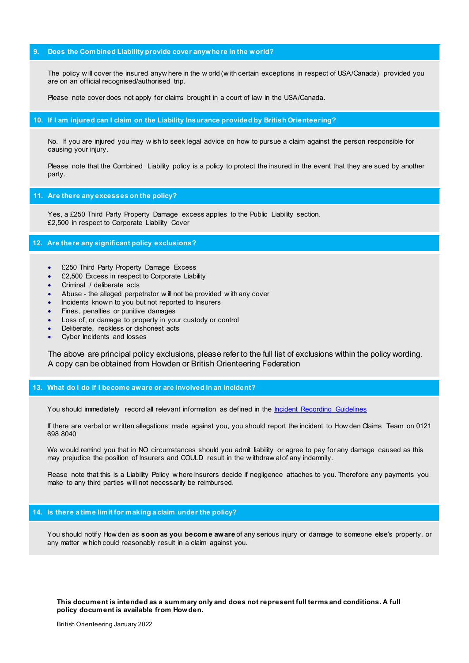# **9. Does the Combined Liability provide cover anywhere in the world?**

The policy w ill cover the insured anyw here in the w orld (w ith certain exceptions in respect of USA/Canada) provided you are on an official recognised/authorised trip.

Please note cover does not apply for claims brought in a court of law in the USA/Canada.

#### **10. If I am injured can I claim on the Liability Insurance provided by British Orienteering?**

No. If you are injured you may w ish to seek legal advice on how to pursue a claim against the person responsible for causing your injury.

Please note that the Combined Liability policy is a policy to protect the insured in the event that they are sued by another party.

### **11. Are there any excesses on the policy?**

Yes, a £250 Third Party Property Damage excess applies to the Public Liability section. £2,500 in respect to Corporate Liability Cover

# **12. Are there any significant policy exclusions?**

- ∑ £250 Third Party Property Damage Excess
- £2,500 Excess in respect to Corporate Liability
- Criminal / deliberate acts
- Abuse the alleged perpetrator w ill not be provided w ith any cover
- Incidents known to you but not reported to Insurers
- Fines, penalties or punitive damages
- Loss of, or damage to property in your custody or control
- ∑ Deliberate, reckless or dishonest acts
- ∑ Cyber Incidents and losses

The above are principal policy exclusions, please refer to the full list of exclusions within the policy wording. A copy can be obtained from Howden or British Orienteering Federation

# **13. What do I do if I become aware or are involved in an incident?**

You should immediately record all relevant information as defined in th[e Incident Recording Guidelines](http://www.perkins-slade.com/files/Claims%20Reporting%20Template%202013.pdf) 

If there are verbal or w ritten allegations made against you, you should report the incident to How den Claims Team on 0121 698 8040

We w ould remind you that in NO circumstances should you admit liability or agree to pay for any damage caused as this may prejudice the position of Insurers and COULD result in the w ithdraw al of any indemnity.

Please note that this is a Liability Policy w here Insurers decide if negligence attaches to you. Therefore any payments you make to any third parties w ill not necessarily be reimbursed.

# **14. Is there a time limit for making a claim under the policy?**

You should notify How den as **soon as you become aware** of any serious injury or damage to someone else's property, or any matter w hich could reasonably result in a claim against you.

**This document is intended as a summary only and does not represent full terms and conditions. A full policy document is available from How den.** 

British Orienteering January 2022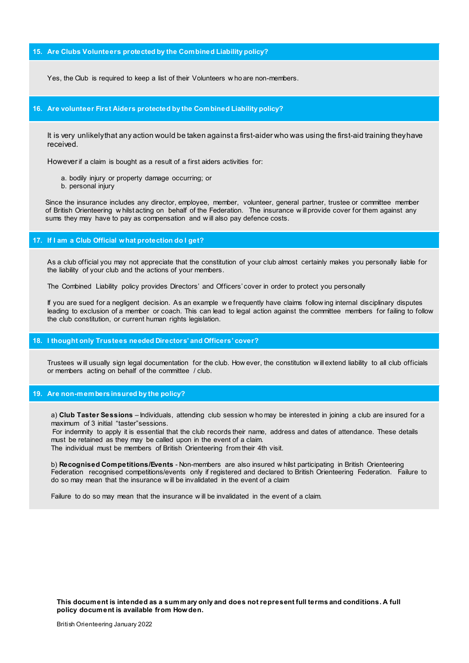### **15. Are Clubs Volunteers protected by the Combined Liability policy?**

Yes, the Club is required to keep a list of their Volunteers w ho are non-members.

### **16. Are volunteer First Aiders protected by the Combined Liability policy?**

It is very unlikely that any action would be taken against a first-aider who was using the first-aid training they have received.

However if a claim is bought as a result of a first aiders activities for:

- a. bodily injury or property damage occurring; or
- b. personal injury

Since the insurance includes any director, employee, member, volunteer, general partner, trustee or committee member of British Orienteering w hilst acting on behalf of the Federation. The insurance w ill provide cover for them against any sums they may have to pay as compensation and w ill also pay defence costs.

#### **17. If I am a Club Official what protection do I get?**

As a club official you may not appreciate that the constitution of your club almost certainly makes you personally liable for the liability of your club and the actions of your members.

The Combined Liability policy provides Directors' and Officers' cover in order to protect you personally

If you are sued for a negligent decision. As an example w e frequently have claims follow ing internal disciplinary disputes leading to exclusion of a member or coach. This can lead to legal action against the committee members for failing to follow the club constitution, or current human rights legislation.

### **18. I thought only Trustees needed Directors' and Officers' cover?**

Trustees w ill usually sign legal documentation for the club. How ever, the constitution w ill extend liability to all club officials or members acting on behalf of the committee / club.

### **19. Are non-members insured by the policy?**

a) **Club Taster Sessions** – Individuals, attending club session w ho may be interested in joining a club are insured for a maximum of 3 initial "taster"sessions.

For indemnity to apply it is essential that the club records their name, address and dates of attendance. These details must be retained as they may be called upon in the event of a claim. The individual must be members of British Orienteering from their 4th visit.

b) **Recognised Competitions/Events** - Non-members are also insured w hilst participating in British Orienteering Federation recognised competitions/events only if registered and declared to British Orienteering Federation. Failure to do so may mean that the insurance w ill be invalidated in the event of a claim

Failure to do so may mean that the insurance w ill be invalidated in the event of a claim.

**This document is intended as a summary only and does not represent full terms and conditions. A full policy document is available from How den.**